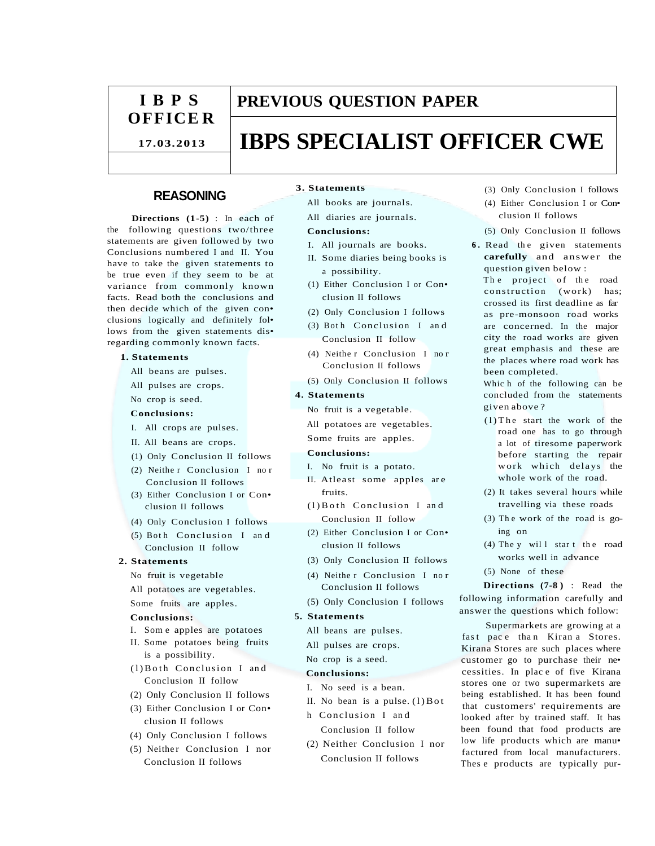# **I B P S OFFICE R**

**17.03.2013**

# **PREVIOUS QUESTION PAPER**

# **IBPS SPECIALIST OFFICER CWE**

# **REASONING**

**Directions (1-5)** : In each of the following questions two/three statements are given followed by two Conclusions numbered I and II. You have to take the given statements to be true even if they seem to be at variance from commonly known facts. Read both the conclusions and then decide which of the given con• clusions logically and definitely fol• lows from the given statements dis• regarding commonly known facts.

## **1. Statements**

- All beans are pulses.
- All pulses are crops.
- No crop is seed.

# **Conclusions:**

- I. All crops are pulses.
- II. All beans are crops.
- (1) Only Conclusion II follows
- (2) Neithe r Conclusion I no r Conclusion II follows
- (3) Either Conclusion I or Con• clusion II follows
- (4) Only Conclusion I follows
- $(5)$  Both Conclusion I and Conclusion II follow

#### **2. Statements**

- No fruit is vegetable
- All potatoes are vegetables.
- Some fruits are apples.

#### **Conclusions:**

- I. Som e apples are potatoes
- II. Some potatoes being fruits is a possibility.
- (1) Both Conclusion I and Conclusion II follow
- (2) Only Conclusion II follows
- (3) Either Conclusion I or Con• clusion II follows
- (4) Only Conclusion I follows
- (5) Neither Conclusion I nor Conclusion II follows

#### **3. Statements**

- All books are journals.
- All diaries are journals.

### **Conclusions:**

- I. All journals are books.
- II. Some diaries being books is a possibility.
- (1) Either Conclusion I or Con• clusion II follows
- (2) Only Conclusion I follows
- (3) Both Conclusion I and Conclusion II follow
- (4) Neithe r Conclusion I no r Conclusion II follows
- (5) Only Conclusion II follows

# **4. Statements**

- No fruit is a vegetable.
- All potatoes are vegetables.
- Some fruits are apples.

#### **Conclusions:**

- I. No fruit is a potato.
- II. Atleast some apples are fruits.
- $(1)$  B oth Conclusion I and Conclusion II follow
- (2) Either Conclusion I or Con• clusion II follows
- (3) Only Conclusion II follows
- (4) Neithe r Conclusion I no r Conclusion II follows
- (5) Only Conclusion I follows

# **5. Statements**

- All beans are pulses.
- All pulses are crops.
- No crop is a seed.

### **Conclusions:**

- I. No seed is a bean.
- II. No bean is a pulse.  $(1)$  B ot h Conclusion I an d Conclusion II follow
- (2) Neither Conclusion I nor Conclusion II follows
- (3) Only Conclusion I follows
- (4) Either Conclusion I or Con• clusion II follows
- (5) Only Conclusion II follows
- **6.** Read the given statements **carefully** and answer the question given below :
	- The project of the road  $construction$  (work) has: crossed its first deadline as far as pre-monsoon road works are concerned. In the major city the road works are given great emphasis and these are the places where road work has been completed.

Whic h of the following can be concluded from the statements given above ?

- $(1)$  The start the work of the road one has to go through a lot of tiresome paperwork before starting the repair work which delays the whole work of the road.
- (2) It takes several hours while travelling via these roads
- (3) Th e work of the road is going on
- (4) The y will star t the road works well in advance
- (5) None of these

**Directions (7-8 )** : Read the following information carefully and answer the questions which follow:

Supermarkets are growing at a fast pace than Kiran a Stores. Kirana Stores are such places where customer go to purchase their ne• cessities. In plac e of five Kirana stores one or two supermarkets are being established. It has been found that customers' requirements are looked after by trained staff. It has been found that food products are low life products which are manu• factured from local manufacturers. Thes e products are typically pur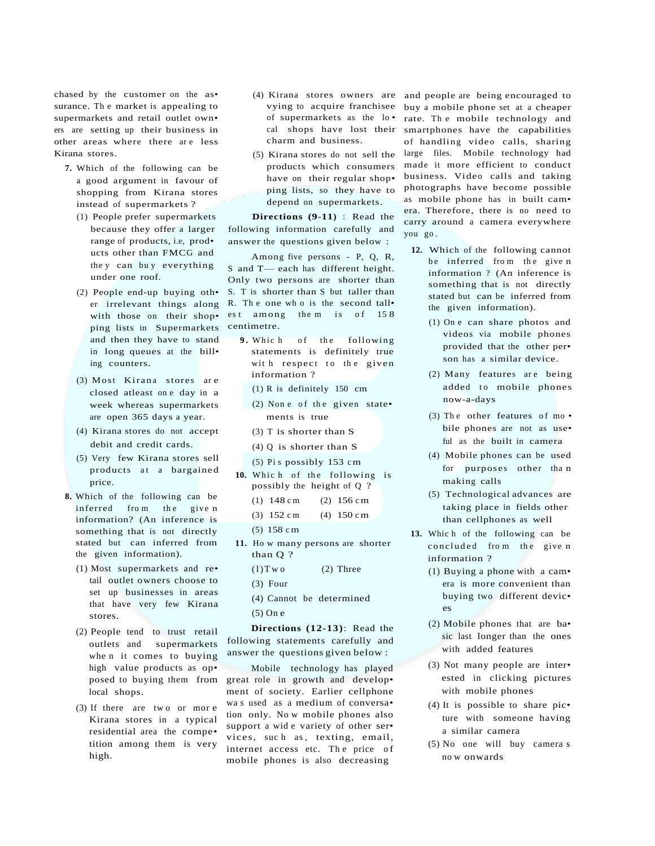chased by the customer on the as• surance. Th e market is appealing to supermarkets and retail outlet own• ers are setting up their business in other areas where there are less Kirana stores.

- **7.** Which of the following can be a good argument in favour of shopping from Kirana stores instead of supermarkets ?
	- (1) People prefer supermarkets because they offer a larger range of products, i.e, prod• ucts other than FMCG and the y can bu y everything under one roof.
	- (2) People end-up buying oth• er irrelevant things along with those on their shop• ping lists in Supermarkets and then they have to stand in long queues at the bill• ing counters.
	- (3) Most Kirana stores ar e closed atleast on e day in a week whereas supermarkets are open 365 days a year.
	- (4) Kirana stores do not accept debit and credit cards.
	- (5) Very few Kirana stores sell products at a bargained price.
- **8.** Which of the following can be inferred from the given information? (An inference is something that is not directly stated but can inferred from the given information).
	- (1) Most supermarkets and re• tail outlet owners choose to set up businesses in areas that have very few Kirana stores.
	- (2) People tend to trust retail outlets and supermarkets whe n it comes to buying high value products as op• posed to buying them from local shops.
	- (3) If there are tw o or mor e Kirana stores in a typical residential area the compe• tition among them is very high.
- (4) Kirana stores owners are vying to acquire franchisee of supermarkets as the lo • cal shops have lost their charm and business.
- (5) Kirana stores do not sell the products which consumers have on their regular shop• ping lists, so they have to depend on supermarkets.

**Directions (9-11)** : Read the following information carefully and answer the questions given below :

Among five persons - P, Q, R, S and T— each has different height. Only two persons are shorter than S. T is shorter than S but taller than R. Th e one wh o is the second tall• est among them is of 158 centimetre.

- **9.** Which of the following statements is definitely true with respect to the given information ?
	- (1) R is definitely 150 cm
	- (2) None of the given state $\cdot$ ments is true
	- (3) T is shorter than S
	- (4) Q is shorter than S
	- (5) Pi s possibly 153 cm
- 10. Which of the following is possibly the height of Q ?
	- (1)  $148 \text{ cm}$  (2)  $156 \text{ cm}$
	- (3)  $152 \text{ cm}$  (4)  $150 \text{ cm}$
	- (5) 158 cm
- **11.** Ho w many persons are shorter than Q ?
	- $(1)$  T w o  $(2)$  Three
	- (3) Four
	- (4) Cannot be determined
	- (5) On e

**Directions (12-13)**: Read the following statements carefully and answer the questions given below :

Mobile technology has played great role in growth and develop• ment of society. Earlier cellphone wa s used as a medium of conversa• tion only. No w mobile phones also support a wid e variety of other ser• vices, such as, texting, email, internet access etc. The price of mobile phones is also decreasing

and people are being encouraged to buy a mobile phone set at a cheaper rate. Th e mobile technology and smartphones have the capabilities of handling video calls, sharing large files. Mobile technology had made it more efficient to conduct business. Video calls and taking photographs have become possible as mobile phone has in built cam• era. Therefore, there is no need to carry around a camera everywhere you go .

- **12.** Which of the following cannot be inferred from the given information ? (An inference is something that is not directly stated but can be inferred from the given information).
	- (1) On e can share photos and videos via mobile phones provided that the other per• son has a similar device.
	- (2) Many features are being added to mobile phones now-a-days
	- (3) The other features of mo $\cdot$ bile phones are not as use• ful as the built in camera
	- (4) Mobile phones can be used for purposes other tha n making calls
	- (5) Technological advances are taking place in fields other than cellphones as well
- 13. Which of the following can be concluded from the given information ?
	- (1) Buying a phone with a cam• era is more convenient than buying two different devic• es
	- (2) Mobile phones that are ba• sic last longer than the ones with added features
	- (3) Not many people are inter• ested in clicking pictures with mobile phones
	- (4) It is possible to share pic• ture with someone having a similar camera
	- (5) No one will buy camera s no w onwards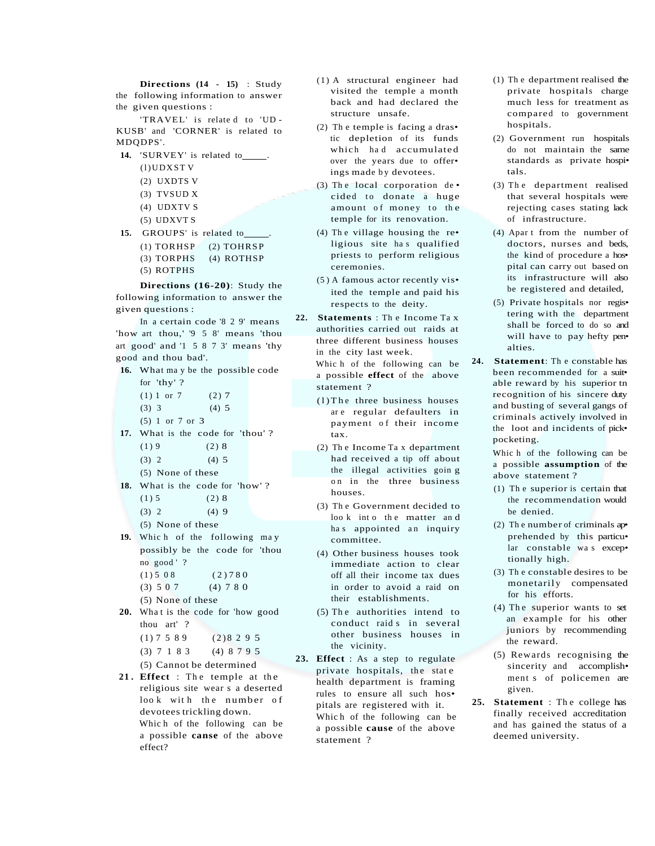**Directions (14 - 15)** : Study the following information to answer the given questions :

'TRAVEL' is relate d to 'UD - KUSB' and 'CORNER' is related to MDQDPS'.

- **14.** 'SURVEY' is related to .
	- $(l)$  UDXSTV
	- (2) UXDTS V
	- (3) TVSUD X
	- (4) UDXTV S
	- (5) UDXVT S
- 15. GROUPS' is related to
	- (1) TORHSP (2) TOHRSP
	- (3) TORPHS (4) ROTHSP
	- (5) ROTPHS

**Directions (16-20)**: Study the following information to answer the given questions :

- In a certain code '8 2 9' means 'how art thou,' '9 5 8' means 'thou art good' and '1 5 8 7 3' means 'thy good and thou bad'.
- **16.** What ma y be the possible code
	- for 'thy' ?
	- $(1) 1$  or 7  $(2) 7$
	- $(3)$  3  $(4)$  5
	- (5) 1 or 7 or 3
- **17.** What is the code for 'thou' ?  $(1) 9$   $(2) 8$ 
	- $(3) 2 (4) 5$
	- (5) None of these
	-
- **18.** What is the code for 'how' ?  $(1) 5$   $(2) 8$ 
	- $(3) 2 (4) 9$
	-
	- (5) None of these
- **19.** Whic h of the following ma y possibly be the code for 'thou no good ' ?
	- $(1) 5 0 8$   $(2) 7 8 0$
	- $(3) 5 0 7$   $(4) 7 8 0$
	- (5) None of these
- 20. What is the code for 'how good thou art' ?
	- $(1) 7 5 89$   $(2) 8 2 9 5$
	- (3) 7 1 8 3 (4) 8 7 9 5

(5) Cannot be determined

21. Effect : The temple at the religious site wear s a deserted look with the number of devotees trickling down. Whic h of the following can be a possible **canse** of the above effect?

- (1) A structural engineer had visited the temple a month back and had declared the structure unsafe.
- (2) Th e temple is facing a dras• tic depletion of its funds which had accumulated over the years due to offer• ings made by devotees.
- (3) The local corporation  $de \cdot$ cided to donate a huge amount of money to the temple for its renovation.
- (4) The village housing the re $\cdot$ ligious site has qualified priests to perform religious ceremonies.
- (5 ) A famous actor recently vis• ited the temple and paid his respects to the deity.
- **22. Statements** : Th e Income Ta x authorities carried out raids at three different business houses in the city last week.
	- Whic h of the following can be a possible **effect** of the above statement ?
	- $(1)$  The three business houses ar e regular defaulters in payment of their income tax.
	- (2) Th e Income Ta x department had received a tip off about the illegal activities goin g on in the three business houses.
	- (3) Th e Government decided to loo k into the matter and has appointed an inquiry committee.
	- (4) Other business houses took immediate action to clear off all their income tax dues in order to avoid a raid on their establishments.
	- $(5)$  The authorities intend to conduct raid s in several other business houses in the vicinity.
- **23. Effect** : As a step to regulate private hospitals, the state health department is framing rules to ensure all such hos• pitals are registered with it. Whic h of the following can be a possible **cause** of the above statement ?
- (1) Th e department realised the private hospitals charge much less for treatment as compared to government hospitals.
- (2) Government run hospitals do not maintain the same standards as private hospi• tals.
- (3) Th e department realised that several hospitals were rejecting cases stating lack of infrastructure.
- (4) Apar t from the number of doctors, nurses and beds, the kind of procedure a hos• pital can carry out based on its infrastructure will also be registered and detailed,
- (5) Private hospitals nor regis• tering with the department shall be forced to do so and will have to pay hefty pen• alties.
- **24. Statement**: Th e constable has been recommended for a suit• able reward by his superior tn recognition of his sincere duty and busting of several gangs of criminals actively involved in the loot and incidents of pick• pocketing.

Whic h of the following can be a possible **assumption** of the above statement ?

- (1) Th e superior is certain that the recommendation would be denied.
- (2) Th e number of criminals ap• prehended by this particu• lar constable wa s excep• tionally high.
- (3) Th e constable desires to be monetarily compensated for his efforts.
- $(4)$  The superior wants to set an example for his other juniors by recommending the reward.
- (5) Rewards recognising the sincerity and accomplish• ment s of policemen are given.
- **25. Statement** : Th e college has finally received accreditation and has gained the status of a deemed university.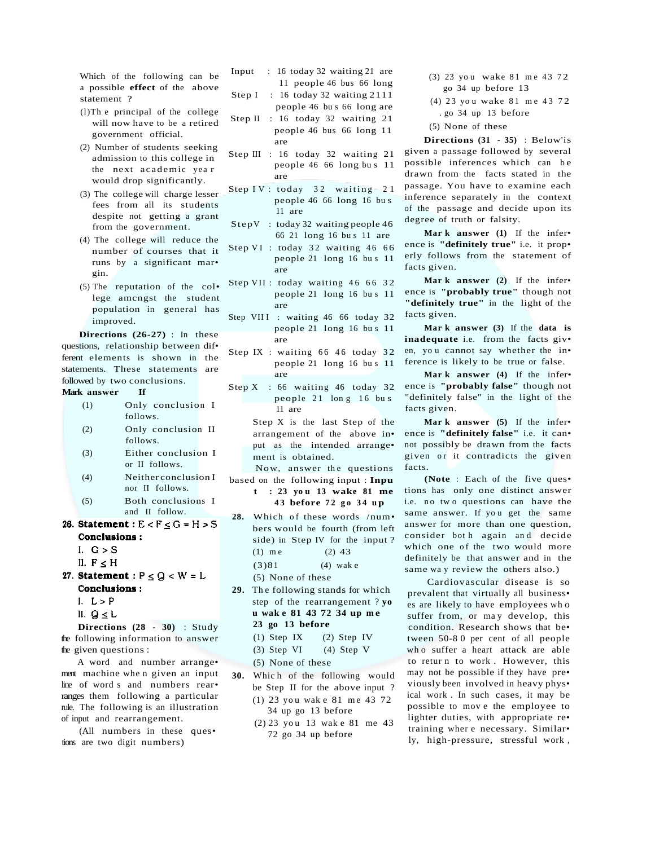Which of the following can be a possible **effect** of the above statement ?

- (l)Th e principal of the college will now have to be a retired government official.
- (2) Number of students seeking admission to this college in the next academic yea r would drop significantly.
- (3) The college will charge lesser fees from all its students despite not getting a grant from the government.
- (4) The college will reduce the number of courses that it runs by a significant mar• gin.
- (5) The reputation of the col• lege amcngst the student population in general has improved.

**Directions (26-27)** : In these questions, relationship between dif• ferent elements is shown in the statements. These statements are followed by two conclusions.

## **Mark answer If**

- (1) Only conclusion I follows.
- (2) Only conclusion II follows.
- (3) Either conclusion I or II follows.
- (4) Neither conclusion I nor II follows.
- (5) Both conclusions I and II follow.
- 26. Statement:  $E < F \le G = H > S$ Conclusions:
	- I.  $G > S$
	- II.  $F \leq H$
- 27. Statement :  $P \le Q < W = L$ **Conclusions:** 
	- I.  $L > P$
	- II.  $Q \leq L$

**Directions (28 - 30)** : Study the following information to answer the given questions :

A word and number arrange• ment machine whe n given an input line of word s and numbers rear• ranges them following a particular rule. The following is an illustration of input and rearrangement.

(All numbers in these ques• tions are two digit numbers)

- Input : 16 today 32 waiting 21 are 11 people 46 bus 66 long Step I: 16 today 32 waiting 2111
- people 46 bu s 66 long are Step II : 16 today 32 waiting 21 people 46 bus 66 long 11
- are Step III : 16 today 32 waiting 21
	- people 46 66 long bu s 11 are
- Step IV : today  $32$  waiting  $21$ people 46 66 long 16 bu s 11 are
- StepV : today 32 waiting people 46 66 21 long 16 bu s 11 are
- Step VI : today 32 waiting 46 66 people 21 long 16 bu s 11 are
- Step VII : today waiting 46 66 32 people 21 long 16 bu s 11 are
- Step VIII : waiting 46 66 today 32 people 21 long 16 bu s 11 are
- Step IX : waiting  $66$  46 today 32 people 21 long 16 bu s 11 are
- Step X : 66 waiting 46 today 32 people 21 long 16 bus 11 are

Step X is the last Step of the arrangement of the above in• put as the intended arrange• ment is obtained.

Now, answer the questions based on the following input : **Inpu**

**t : 23 yo u 13 wake 81 me 4 3 before 7 2 g o 3 4 u p**

- 28. Which of these words /num. bers would be fourth (from left side) in Step IV for the input ? (1) me  $(2)$  43 (3)81 (4) wak e
	- (5) None of these
- 29. The following stands for which step of the rearrangement ? **yo u wak e 81 43 72 34 up m e 23 go 13 before**
	- (1) Step IX (2) Step IV
	- (3) Step VI (4) Step V
	- (5) None of these
- **30.** Whic h of the following would be Step II for the above input ? (1) 23 you wake 81 me 43 72 34 up go 13 before
	- (2) 23 yo u 13 wak e 81 me 43 72 go 34 up before
- (3) 23 you wake 81 me 43 72 go 34 up before 13
- (4) 23 you wake 81 me 43 72 . go 34 up 13 before
- (5) None of these

**Directions (31 - 35)** : Below'is given a passage followed by several possible inferences which can be drawn from the facts stated in the passage. You have to examine each inference separately in the context of the passage and decide upon its degree of truth or falsity.

**Mar k answer (1)** If the infer• ence is **"definitely true"** i.e. it prop• erly follows from the statement of facts given.

**Mar k answer (2)** If the infer• ence is **"probably true"** though not **"definitely true"** in the light of the facts given.

**Mar k answer (3)** If the **data is inadequate** i.e. from the facts giv• en, yo u cannot say whether the in• ference is likely to be true or false.

**Mar k answer (4)** If the infer• ence is **"probably false"** though not "definitely false" in the light of the facts given.

**Mar k answer (5)** If the infer• ence is **"definitely false"** i.e. it can• not possibly be drawn from the facts given or it contradicts the given facts.

**(Note** : Each of the five ques• tions has only one distinct answer i.e. no two questions can have the same answer. If you get the same answer for more than one question, consider bot h again an d decide which one of the two would more definitely be that answer and in the same wa y review the others also.)

Cardiovascular disease is so prevalent that virtually all business• es are likely to have employees wh o suffer from, or may develop, this condition. Research shows that be• tween 50-8 0 per cent of all people wh o suffer a heart attack are able to retur n to work . However, this may not be possible if they have pre• viously been involved in heavy phys• ical work . In such cases, it may be possible to mov e the employee to lighter duties, with appropriate re• training wher e necessary. Similar• ly, high-pressure, stressful work ,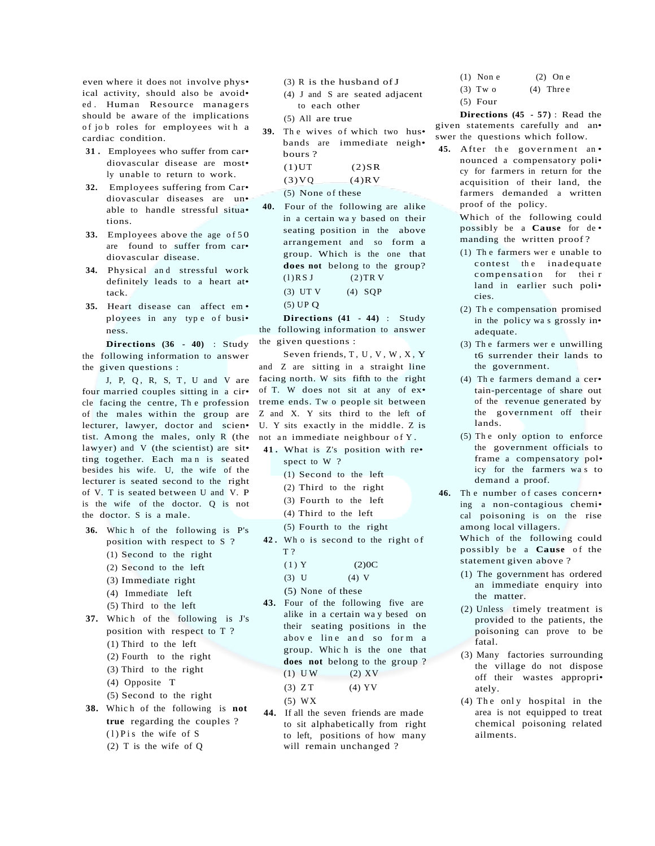even where it does not involve phys• ical activity, should also be avoid• ed. Human Resource managers should be aware of the implications of job roles for employees with a cardiac condition.

- **31 .** Employees who suffer from car• diovascular disease are most• ly unable to return to work.
- **32.** Employees suffering from Car• diovascular diseases are un• able to handle stressful situa• tions.
- 33. Employees above the age of 50 are found to suffer from car• diovascular disease.
- **34.** Physical an d stressful work definitely leads to a heart at• tack.
- **35.** Heart disease can affect em ployees in any type of busi• ness.

**Directions (36 - 40)** : Study the following information to answer the given questions :

J, P, Q, R, S, T, U and V are four married couples sitting in a cir• cle facing the centre, Th e profession of the males within the group are lecturer, lawyer, doctor and scien• tist. Among the males, only R (the lawyer) and V (the scientist) are sit• ting together. Each man is seated besides his wife. U, the wife of the lecturer is seated second to the right of V. T is seated between U and V. P is the wife of the doctor. Q is not the doctor. S is a male.

- **36.** Whic h of the following is P's position with respect to S ?
	- (1) Second to the right
	- (2) Second to the left
	- (3) Immediate right
	- (4) Immediate left
	- (5) Third to the left
- **37.** Which of the following is J's position with respect to T ? (1) Third to the left
	- (2) Fourth to the right
	- (3) Third to the right
	- (4) Opposite T
	- (5) Second to the right
- **38.** Whic h of the following is **not true** regarding the couples ?  $(1)$  P i s the wife of S (2) T is the wife of Q
- (3) R is the husband of J
- (4) J and S are seated adjacent to each other
- (5) All are true
- 39. The wives of which two hus• bands are immediate neigh• bours ?  $(1)$ UT  $(2)$ SR  $(3)VQ$  (4)RV
	- $(5)$  None of these
- **40.** Four of the following are alike in a certain wa y based on their seating position in the above arrangement and so form a group. Which is the one that **does not** belong to the group?  $(l)$  RS J  $(2)$  TR V (3) UT V (4)  $SQP$ (5) UP Q

**Directions (41 - 44)** : Study the following information to answer the given questions :

Seven friends,  $T, U, V, W, X, Y$ and Z are sitting in a straight line facing north. W sits fifth to the right of T. W does not sit at any of ex• treme ends. Tw o people sit between Z and X. Y sits third to the left of U. Y sits exactly in the middle. Z is not an immediate neighbour of Y.

- **41 .** What is Z's position with re• spect to W ?
	- (1) Second to the left
	- (2) Third to the right
	- (3) Fourth to the left
	- (4) Third to the left
	- (5) Fourth to the right
- **42 .** Wh o is second to the right o f T ?

$$
(1) Y \t(2)0C
$$

- (3) U  $(4)$  V
- (5) None of these
- **43.** Four of the following five are alike in a certain wa y besed on their seating positions in the abov e line and so form a group. Whic h is the one that **does not** belong to the group ?  $(1)$  UW  $(2)$  XV
	- $(3) Z T$  (4) YV
	- (5) WX
- **44.** If all the seven friends are made to sit alphabetically from right to left, positions of how many will remain unchanged ?
- (1) Non e (2) On e (3) Two  $(4)$  Three
- (5) Four
- 

**Directions (45 - 57)** : Read the given statements carefully and an• swer the questions which follow.

45. After the government an. nounced a compensatory poli• cy for farmers in return for the acquisition of their land, the farmers demanded a written proof of the policy.

> Which of the following could possibly be a **Cause** for de • manding the written proof ?

- (1) Th e farmers wer e unable to contest the inadequate compensation for their land in earlier such poli• cies.
- (2) Th e compensation promised in the policy wa s grossly in• adequate.
- (3) Th e farmers wer e unwilling t6 surrender their lands to the government.
- (4) Th e farmers demand a cer• tain-percentage of share out of the revenue generated by the government off their lands.
- (5) Th e only option to enforce the government officials to frame a compensatory pol• icy for the farmers wa s to demand a proof.
- 46. The number of cases concern• ing a non-contagious chemi• cal poisoning is on the rise among local villagers. Which of the following could possibly be a **Cause** of the statement given above ?
	- (1) The government has ordered an immediate enquiry into the matter.
	- (2) Unless timely treatment is provided to the patients, the poisoning can prove to be fatal.
	- (3) Many factories surrounding the village do not dispose off their wastes appropri• ately.
	- (4) The only hospital in the area is not equipped to treat chemical poisoning related ailments.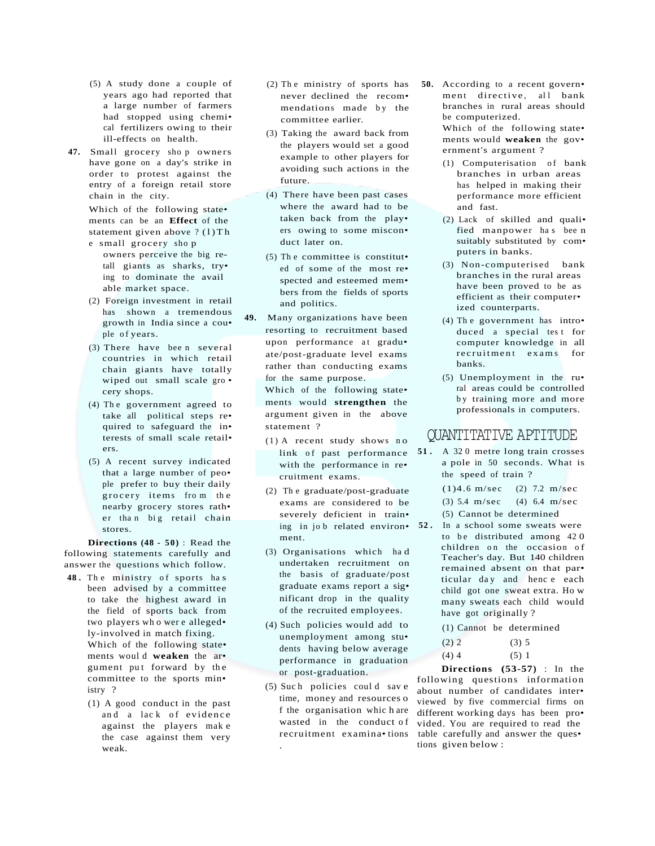- (5) A study done a couple of years ago had reported that a large number of farmers had stopped using chemi• cal fertilizers owing to their ill-effects on health.
- **47.** Small grocery sho p owners have gone on a day's strike in order to protest against the entry of a foreign retail store chain in the city.

Which of the following state• ments can be an **Effect** of the statement given above  $? (1) Th$ e small grocery shop

- owners perceive the big retall giants as sharks, try• ing to dominate the avail able market space.
- (2) Foreign investment in retail has shown a tremendous growth in India since a cou• ple of years.
- (3) There have bee n several countries in which retail chain giants have totally wiped out small scale gro • cery shops.
- (4) The government agreed to take all political steps re• quired to safeguard the in• terests of small scale retail• ers.
- (5) A recent survey indicated that a large number of peo• ple prefer to buy their daily grocery items from the nearby grocery stores rath• er than big retail chain stores.

**Directions (48 - 5 0 )** : Read the following statements carefully and answer the questions which follow.

- 48. The ministry of sports has been advised by a committee to take the highest award in the field of sports back from two players wh o wer e alleged• ly-involved in match fixing. Which of the following state• ments woul d **weaken** the ar• gument put forward by the committee to the sports min• istry ?
	- (1) A good conduct in the past and a lack of evidence against the players mak e the case against them very weak.
- (2) Th e ministry of sports has never declined the recom• mendations made by the committee earlier.
- (3) Taking the award back from the players would set a good example to other players for avoiding such actions in the future.
- (4) There have been past cases where the award had to be taken back from the play• ers owing to some miscon• duct later on.
- (5) Th e committee is constitut• ed of some of the most re• spected and esteemed mem• bers from the fields of sports and politics.
- **49.** Many organizations have been resorting to recruitment based upon performance at gradu• ate/post-graduate level exams rather than conducting exams for the same purpose.

Which of the following state• ments would **strengthen** the argument given in the above statement ?

- (1) A recent study shows no link of past performance with the performance in re• cruitment exams.
- (2) Th e graduate/post-graduate exams are considered to be severely deficient in train• ing in job related environ. 52. ment.
- (3) Organisations which ha d undertaken recruitment on the basis of graduate/post graduate exams report a sig• nificant drop in the quality of the recruited employees.
- (4) Such policies would add to unemployment among stu• dents having below average performance in graduation or post-graduation.
- (5) Such policies could save time, money and resources o f the organisation whic h are wasted in the conduct of recruitment examina• tions .

**50.** According to a recent govern• ment directive, all bank branches in rural areas should be computerized. Which of the following state• ments would **weaken** the gov•

ernment's argument ?

- $(1)$  Computerisation of bank branches in urban areas has helped in making their performance more efficient and fast.
- (2) Lack of skilled and quali• fied manpower ha s bee n suitably substituted by com• puters in banks.
- (3) Non-computerised bank branches in the rural areas have been proved to be as efficient as their computer• ized counterparts.
- (4) Th e government has intro• duced a special test for computer knowledge in all recruitment exams for banks.
- (5) Unemployment in the ru• ral areas could be controlled by training more and more professionals in computers.

# QUANTITATIVE APTITUDE

- **51 .** A 32 0 metre long train crosses a pole in 50 seconds. What is the speed of train ?
	- (1)4.6 m/sec (2) 7.2 m/sec
	- (3) 5.4 m/sec (4) 6.4 m/sec (5) Cannot be determined
- **52 .** In a school some sweats were to be distributed among 420 children on the occasion of Teacher's day. But 140 children remained absent on that par•
	- ticular day and hence each child got one sweat extra. Ho w many sweats each child would have got originally ?
	- (1) Cannot be determined

| (2) 2   | (3) 5 |  |
|---------|-------|--|
| $(4)$ 4 | (5) 1 |  |

**Directions (53-57)** : In the following questions information about number of candidates inter• viewed by five commercial firms on different working days has been pro• vided. You are required to read the table carefully and answer the ques• tions given below :